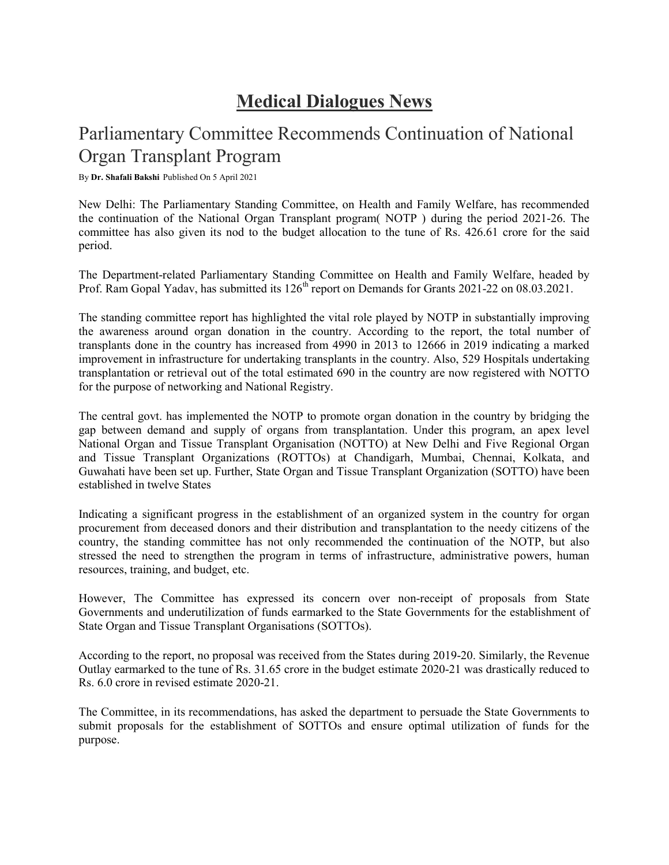## Medical Dialogues News

## Parliamentary Committee Recommends Continuation of National Organ Transplant Program

By Dr. Shafali Bakshi Published On 5 April 2021

New Delhi: The Parliamentary Standing Committee, on Health and Family Welfare, has recommended the continuation of the National Organ Transplant program( NOTP ) during the period 2021-26. The committee has also given its nod to the budget allocation to the tune of Rs. 426.61 crore for the said period.

The Department-related Parliamentary Standing Committee on Health and Family Welfare, headed by Prof. Ram Gopal Yadav, has submitted its 126<sup>th</sup> report on Demands for Grants 2021-22 on 08.03.2021.

The standing committee report has highlighted the vital role played by NOTP in substantially improving the awareness around organ donation in the country. According to the report, the total number of transplants done in the country has increased from 4990 in 2013 to 12666 in 2019 indicating a marked improvement in infrastructure for undertaking transplants in the country. Also, 529 Hospitals undertaking transplantation or retrieval out of the total estimated 690 in the country are now registered with NOTTO for the purpose of networking and National Registry.

The central govt. has implemented the NOTP to promote organ donation in the country by bridging the gap between demand and supply of organs from transplantation. Under this program, an apex level National Organ and Tissue Transplant Organisation (NOTTO) at New Delhi and Five Regional Organ and Tissue Transplant Organizations (ROTTOs) at Chandigarh, Mumbai, Chennai, Kolkata, and Guwahati have been set up. Further, State Organ and Tissue Transplant Organization (SOTTO) have been established in twelve States

Indicating a significant progress in the establishment of an organized system in the country for organ procurement from deceased donors and their distribution and transplantation to the needy citizens of the country, the standing committee has not only recommended the continuation of the NOTP, but also stressed the need to strengthen the program in terms of infrastructure, administrative powers, human resources, training, and budget, etc.

However, The Committee has expressed its concern over non-receipt of proposals from State Governments and underutilization of funds earmarked to the State Governments for the establishment of State Organ and Tissue Transplant Organisations (SOTTOs).

According to the report, no proposal was received from the States during 2019-20. Similarly, the Revenue Outlay earmarked to the tune of Rs. 31.65 crore in the budget estimate 2020-21 was drastically reduced to Rs. 6.0 crore in revised estimate 2020-21.

The Committee, in its recommendations, has asked the department to persuade the State Governments to submit proposals for the establishment of SOTTOs and ensure optimal utilization of funds for the purpose.